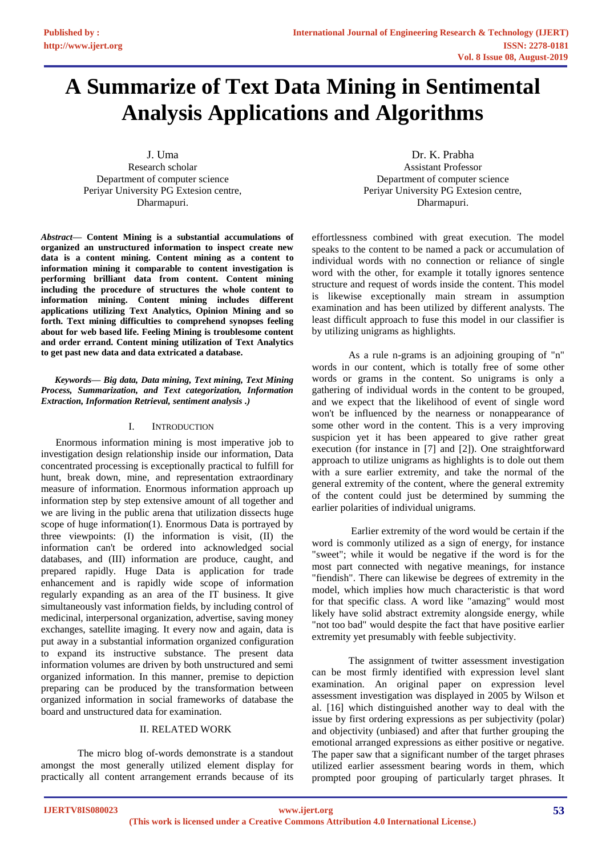# **A Summarize of Text Data Mining in Sentimental Analysis Applications and Algorithms**

J. Uma Research scholar Department of computer science Periyar University PG Extesion centre, Dharmapuri.

*Abstract—* **Content Mining is a substantial accumulations of organized an unstructured information to inspect create new data is a content mining. Content mining as a content to information mining it comparable to content investigation is performing brilliant data from content. Content mining including the procedure of structures the whole content to information mining. Content mining includes different applications utilizing Text Analytics, Opinion Mining and so forth. Text mining difficulties to comprehend synopses feeling about for web based life. Feeling Mining is troublesome content and order errand. Content mining utilization of Text Analytics to get past new data and data extricated a database.**

*Keywords— Big data, Data mining, Text mining, Text Mining Process, Summarization, and Text categorization, Information Extraction, Information Retrieval, sentiment analysis .)*

#### I. INTRODUCTION

Enormous information mining is most imperative job to investigation design relationship inside our information, Data concentrated processing is exceptionally practical to fulfill for hunt, break down, mine, and representation extraordinary measure of information. Enormous information approach up information step by step extensive amount of all together and we are living in the public arena that utilization dissects huge scope of huge information(1). Enormous Data is portrayed by three viewpoints: (I) the information is visit, (II) the information can't be ordered into acknowledged social databases, and (III) information are produce, caught, and prepared rapidly. Huge Data is application for trade enhancement and is rapidly wide scope of information regularly expanding as an area of the IT business. It give simultaneously vast information fields, by including control of medicinal, interpersonal organization, advertise, saving money exchanges, satellite imaging. It every now and again, data is put away in a substantial information organized configuration to expand its instructive substance. The present data information volumes are driven by both unstructured and semi organized information. In this manner, premise to depiction preparing can be produced by the transformation between organized information in social frameworks of database the board and unstructured data for examination.

#### II. RELATED WORK

The micro blog of-words demonstrate is a standout amongst the most generally utilized element display for practically all content arrangement errands because of its

Dr. K. Prabha Assistant Professor Department of computer science Periyar University PG Extesion centre, Dharmapuri.

effortlessness combined with great execution. The model speaks to the content to be named a pack or accumulation of individual words with no connection or reliance of single word with the other, for example it totally ignores sentence structure and request of words inside the content. This model is likewise exceptionally main stream in assumption examination and has been utilized by different analysts. The least difficult approach to fuse this model in our classifier is by utilizing unigrams as highlights.

As a rule n-grams is an adjoining grouping of "n" words in our content, which is totally free of some other words or grams in the content. So unigrams is only a gathering of individual words in the content to be grouped, and we expect that the likelihood of event of single word won't be influenced by the nearness or nonappearance of some other word in the content. This is a very improving suspicion yet it has been appeared to give rather great execution (for instance in [7] and [2]). One straightforward approach to utilize unigrams as highlights is to dole out them with a sure earlier extremity, and take the normal of the general extremity of the content, where the general extremity of the content could just be determined by summing the earlier polarities of individual unigrams.

Earlier extremity of the word would be certain if the word is commonly utilized as a sign of energy, for instance "sweet"; while it would be negative if the word is for the most part connected with negative meanings, for instance "fiendish". There can likewise be degrees of extremity in the model, which implies how much characteristic is that word for that specific class. A word like "amazing" would most likely have solid abstract extremity alongside energy, while "not too bad" would despite the fact that have positive earlier extremity yet presumably with feeble subjectivity.

The assignment of twitter assessment investigation can be most firmly identified with expression level slant examination. An original paper on expression level assessment investigation was displayed in 2005 by Wilson et al. [16] which distinguished another way to deal with the issue by first ordering expressions as per subjectivity (polar) and objectivity (unbiased) and after that further grouping the emotional arranged expressions as either positive or negative. The paper saw that a significant number of the target phrases utilized earlier assessment bearing words in them, which prompted poor grouping of particularly target phrases. It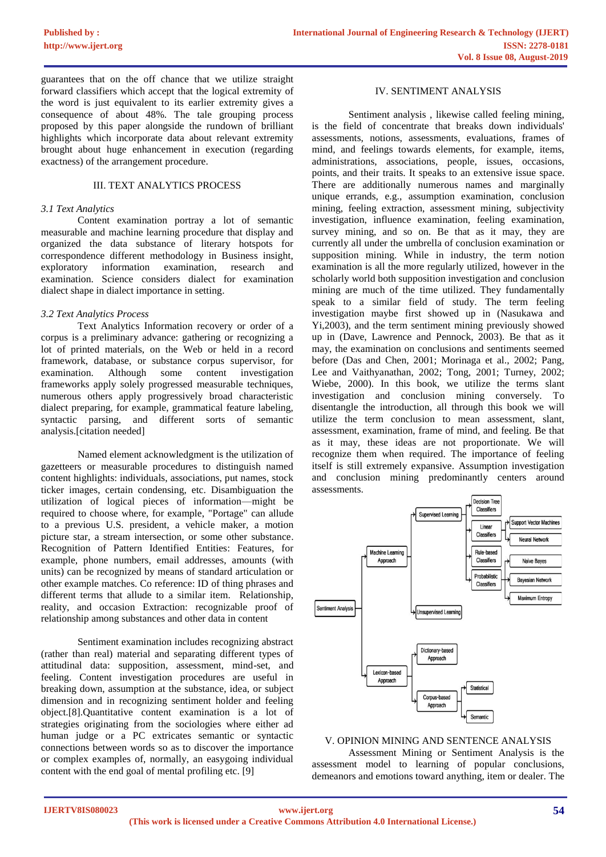guarantees that on the off chance that we utilize straight forward classifiers which accept that the logical extremity of the word is just equivalent to its earlier extremity gives a consequence of about 48%. The tale grouping process proposed by this paper alongside the rundown of brilliant highlights which incorporate data about relevant extremity brought about huge enhancement in execution (regarding exactness) of the arrangement procedure.

# III. TEXT ANALYTICS PROCESS

#### *3.1 Text Analytics*

Content examination portray a lot of semantic measurable and machine learning procedure that display and organized the data substance of literary hotspots for correspondence different methodology in Business insight, exploratory information examination, research and examination. Science considers dialect for examination dialect shape in dialect importance in setting.

# *3.2 Text Analytics Process*

Text Analytics Information recovery or order of a corpus is a preliminary advance: gathering or recognizing a lot of printed materials, on the Web or held in a record framework, database, or substance corpus supervisor, for examination. Although some content investigation frameworks apply solely progressed measurable techniques, numerous others apply progressively broad characteristic dialect preparing, for example, grammatical feature labeling, syntactic parsing, and different sorts of semantic analysis.[citation needed]

Named element acknowledgment is the utilization of gazetteers or measurable procedures to distinguish named content highlights: individuals, associations, put names, stock ticker images, certain condensing, etc. Disambiguation the utilization of logical pieces of information—might be required to choose where, for example, "Portage" can allude to a previous U.S. president, a vehicle maker, a motion picture star, a stream intersection, or some other substance. Recognition of Pattern Identified Entities: Features, for example, phone numbers, email addresses, amounts (with units) can be recognized by means of standard articulation or other example matches. Co reference: ID of thing phrases and different terms that allude to a similar item. Relationship, reality, and occasion Extraction: recognizable proof of relationship among substances and other data in content

Sentiment examination includes recognizing abstract (rather than real) material and separating different types of attitudinal data: supposition, assessment, mind-set, and feeling. Content investigation procedures are useful in breaking down, assumption at the substance, idea, or subject dimension and in recognizing sentiment holder and feeling object.[8].Quantitative content examination is a lot of strategies originating from the sociologies where either ad human judge or a PC extricates semantic or syntactic connections between words so as to discover the importance or complex examples of, normally, an easygoing individual content with the end goal of mental profiling etc. [9]

#### IV. SENTIMENT ANALYSIS

Sentiment analysis , likewise called feeling mining, is the field of concentrate that breaks down individuals' assessments, notions, assessments, evaluations, frames of mind, and feelings towards elements, for example, items, administrations, associations, people, issues, occasions, points, and their traits. It speaks to an extensive issue space. There are additionally numerous names and marginally unique errands, e.g., assumption examination, conclusion mining, feeling extraction, assessment mining, subjectivity investigation, influence examination, feeling examination, survey mining, and so on. Be that as it may, they are currently all under the umbrella of conclusion examination or supposition mining. While in industry, the term notion examination is all the more regularly utilized, however in the scholarly world both supposition investigation and conclusion mining are much of the time utilized. They fundamentally speak to a similar field of study. The term feeling investigation maybe first showed up in (Nasukawa and Yi,2003), and the term sentiment mining previously showed up in (Dave, Lawrence and Pennock, 2003). Be that as it may, the examination on conclusions and sentiments seemed before (Das and Chen, 2001; Morinaga et al., 2002; Pang, Lee and Vaithyanathan, 2002; Tong, 2001; Turney, 2002; Wiebe, 2000). In this book, we utilize the terms slant investigation and conclusion mining conversely. To disentangle the introduction, all through this book we will utilize the term conclusion to mean assessment, slant, assessment, examination, frame of mind, and feeling. Be that as it may, these ideas are not proportionate. We will recognize them when required. The importance of feeling itself is still extremely expansive. Assumption investigation and conclusion mining predominantly centers around assessments.



# V. OPINION MINING AND SENTENCE ANALYSIS

Assessment Mining or Sentiment Analysis is the assessment model to learning of popular conclusions, demeanors and emotions toward anything, item or dealer. The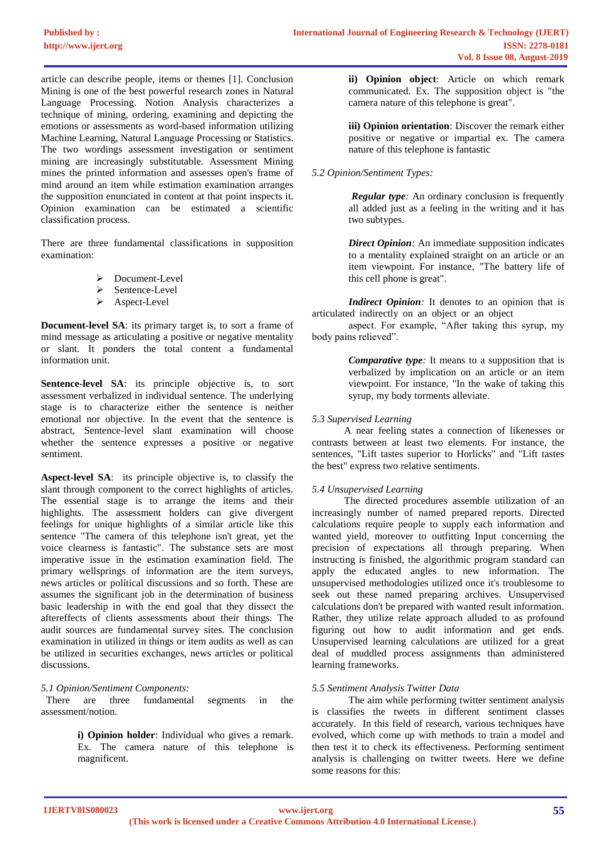article can describe people, items or themes [1]. Conclusion Mining is one of the best powerful research zones in Natural Language Processing. Notion Analysis characterizes a technique of mining, ordering, examining and depicting the emotions or assessments as word-based information utilizing Machine Learning, Natural Language Processing or Statistics. The two wordings assessment investigation or sentiment mining are increasingly substitutable. Assessment Mining mines the printed information and assesses open's frame of mind around an item while estimation examination arranges the supposition enunciated in content at that point inspects it. Opinion examination can be estimated a scientific classification process.

There are three fundamental classifications in supposition examination:

- ➢ Document-Level
- Sentence-Level
- ➢ Aspect-Level

**Document-level SA**: its primary target is, to sort a frame of mind message as articulating a positive or negative mentality or slant. It ponders the total content a fundamental information unit.

**Sentence-level SA**: its principle objective is, to sort assessment verbalized in individual sentence. The underlying stage is to characterize either the sentence is neither emotional nor objective. In the event that the sentence is abstract, Sentence-level slant examination will choose whether the sentence expresses a positive or negative sentiment.

**Aspect-level SA**: its principle objective is, to classify the slant through component to the correct highlights of articles. The essential stage is to arrange the items and their highlights. The assessment holders can give divergent feelings for unique highlights of a similar article like this sentence "The camera of this telephone isn't great, yet the voice clearness is fantastic". The substance sets are most imperative issue in the estimation examination field. The primary wellsprings of information are the item surveys, news articles or political discussions and so forth. These are assumes the significant job in the determination of business basic leadership in with the end goal that they dissect the aftereffects of clients assessments about their things. The audit sources are fundamental survey sites. The conclusion examination in utilized in things or item audits as well as can be utilized in securities exchanges, news articles or political discussions.

# *5.1 Opinion/Sentiment Components:*

 There are three fundamental segments in the assessment/notion.

> **i) Opinion holder**: Individual who gives a remark. Ex. The camera nature of this telephone is magnificent.

**ii) Opinion object**: Article on which remark communicated. Ex. The supposition object is "the camera nature of this telephone is great".

**iii) Opinion orientation**: Discover the remark either positive or negative or impartial ex. The camera nature of this telephone is fantastic

# *5.2 Opinion/Sentiment Types:*

*Regular type*: An ordinary conclusion is frequently all added just as a feeling in the writing and it has two subtypes.

*Direct Opinion:* An immediate supposition indicates to a mentality explained straight on an article or an item viewpoint. For instance, "The battery life of this cell phone is great".

*Indirect Opinion*: It denotes to an opinion that is articulated indirectly on an object or an object …

aspect. For example, "After taking this syrup, my body pains relieved".

> *Comparative type:* It means to a supposition that is verbalized by implication on an article or an item viewpoint. For instance, "In the wake of taking this syrup, my body torments alleviate.

# *5.3 Supervised Learning*

A near feeling states a connection of likenesses or contrasts between at least two elements. For instance, the sentences, "Lift tastes superior to Horlicks" and "Lift tastes the best" express two relative sentiments.

# *5.4 Unsupervised Learning*

The directed procedures assemble utilization of an increasingly number of named prepared reports. Directed calculations require people to supply each information and wanted yield, moreover to outfitting Input concerning the precision of expectations all through preparing. When instructing is finished, the algorithmic program standard can apply the educated angles to new information. The unsupervised methodologies utilized once it's troublesome to seek out these named preparing archives. Unsupervised calculations don't be prepared with wanted result information. Rather, they utilize relate approach alluded to as profound figuring out how to audit information and get ends. Unsupervised learning calculations are utilized for a great deal of muddled process assignments than administered learning frameworks.

# *5.5 Sentiment Analysis Twitter Data*

The aim while performing twitter sentiment analysis is classifies the tweets in different sentiment classes accurately. In this field of research, various techniques have evolved, which come up with methods to train a model and then test it to check its effectiveness. Performing sentiment analysis is challenging on twitter tweets. Here we define some reasons for this: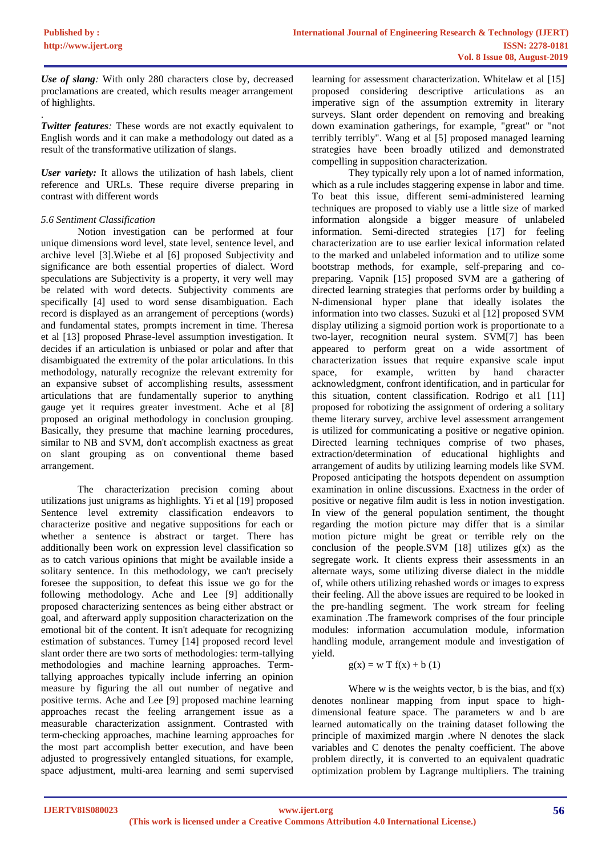.

*Use of slang:* With only 280 characters close by, decreased proclamations are created, which results meager arrangement of highlights.

*Twitter features:* These words are not exactly equivalent to English words and it can make a methodology out dated as a result of the transformative utilization of slangs.

*User variety:* It allows the utilization of hash labels, client reference and URLs. These require diverse preparing in contrast with different words

# *5.6 Sentiment Classification*

Notion investigation can be performed at four unique dimensions word level, state level, sentence level, and archive level [3].Wiebe et al [6] proposed Subjectivity and significance are both essential properties of dialect. Word speculations are Subjectivity is a property, it very well may be related with word detects. Subjectivity comments are specifically [4] used to word sense disambiguation. Each record is displayed as an arrangement of perceptions (words) and fundamental states, prompts increment in time. Theresa et al [13] proposed Phrase-level assumption investigation. It decides if an articulation is unbiased or polar and after that disambiguated the extremity of the polar articulations. In this methodology, naturally recognize the relevant extremity for an expansive subset of accomplishing results, assessment articulations that are fundamentally superior to anything gauge yet it requires greater investment. Ache et al [8] proposed an original methodology in conclusion grouping. Basically, they presume that machine learning procedures, similar to NB and SVM, don't accomplish exactness as great on slant grouping as on conventional theme based arrangement.

The characterization precision coming about utilizations just unigrams as highlights. Yi et al [19] proposed Sentence level extremity classification endeavors to characterize positive and negative suppositions for each or whether a sentence is abstract or target. There has additionally been work on expression level classification so as to catch various opinions that might be available inside a solitary sentence. In this methodology, we can't precisely foresee the supposition, to defeat this issue we go for the following methodology. Ache and Lee [9] additionally proposed characterizing sentences as being either abstract or goal, and afterward apply supposition characterization on the emotional bit of the content. It isn't adequate for recognizing estimation of substances. Turney [14] proposed record level slant order there are two sorts of methodologies: term-tallying methodologies and machine learning approaches. Termtallying approaches typically include inferring an opinion measure by figuring the all out number of negative and positive terms. Ache and Lee [9] proposed machine learning approaches recast the feeling arrangement issue as a measurable characterization assignment. Contrasted with term-checking approaches, machine learning approaches for the most part accomplish better execution, and have been adjusted to progressively entangled situations, for example, space adjustment, multi-area learning and semi supervised

learning for assessment characterization. Whitelaw et al [15] proposed considering descriptive articulations as an imperative sign of the assumption extremity in literary surveys. Slant order dependent on removing and breaking down examination gatherings, for example, "great" or "not terribly terribly". Wang et al [5] proposed managed learning strategies have been broadly utilized and demonstrated compelling in supposition characterization.

They typically rely upon a lot of named information, which as a rule includes staggering expense in labor and time. To beat this issue, different semi-administered learning techniques are proposed to viably use a little size of marked information alongside a bigger measure of unlabeled information. Semi-directed strategies [17] for feeling characterization are to use earlier lexical information related to the marked and unlabeled information and to utilize some bootstrap methods, for example, self-preparing and copreparing. Vapnik [15] proposed SVM are a gathering of directed learning strategies that performs order by building a N-dimensional hyper plane that ideally isolates the information into two classes. Suzuki et al [12] proposed SVM display utilizing a sigmoid portion work is proportionate to a two-layer, recognition neural system. SVM[7] has been appeared to perform great on a wide assortment of characterization issues that require expansive scale input space, for example, written by hand character acknowledgment, confront identification, and in particular for this situation, content classification. Rodrigo et al1 [11] proposed for robotizing the assignment of ordering a solitary theme literary survey, archive level assessment arrangement is utilized for communicating a positive or negative opinion. Directed learning techniques comprise of two phases, extraction/determination of educational highlights and arrangement of audits by utilizing learning models like SVM. Proposed anticipating the hotspots dependent on assumption examination in online discussions. Exactness in the order of positive or negative film audit is less in notion investigation. In view of the general population sentiment, the thought regarding the motion picture may differ that is a similar motion picture might be great or terrible rely on the conclusion of the people.SVM  $[18]$  utilizes  $g(x)$  as the segregate work. It clients express their assessments in an alternate ways, some utilizing diverse dialect in the middle of, while others utilizing rehashed words or images to express their feeling. All the above issues are required to be looked in the pre-handling segment. The work stream for feeling examination .The framework comprises of the four principle modules: information accumulation module, information handling module, arrangement module and investigation of yield.

#### $g(x) = w T f(x) + b(1)$

Where  $w$  is the weights vector,  $b$  is the bias, and  $f(x)$ denotes nonlinear mapping from input space to highdimensional feature space. The parameters w and b are learned automatically on the training dataset following the principle of maximized margin .where N denotes the slack variables and C denotes the penalty coefficient. The above problem directly, it is converted to an equivalent quadratic optimization problem by Lagrange multipliers. The training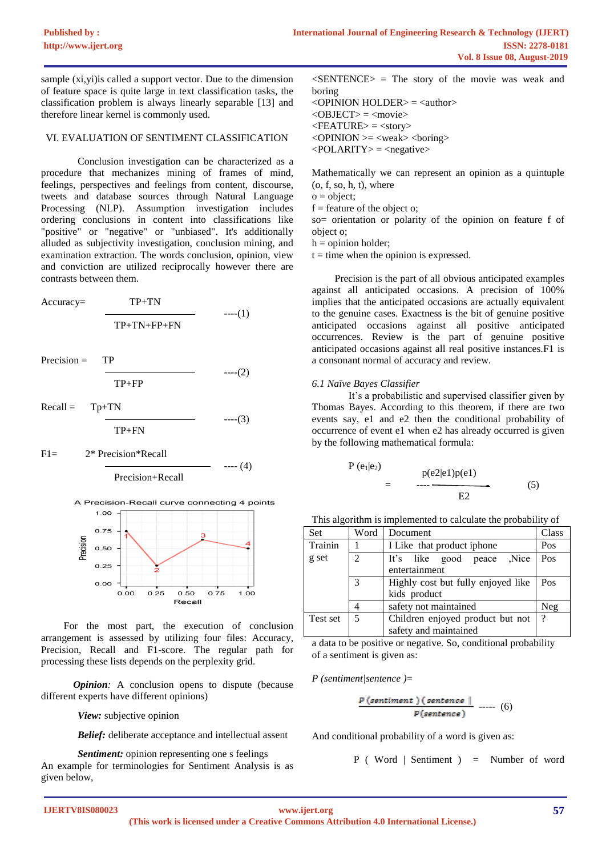sample (xi,yi) is called a support vector. Due to the dimension of feature space is quite large in text classification tasks, the classification problem is always linearly separable [13] and therefore linear kernel is commonly used.

#### VI. EVALUATION OF SENTIMENT CLASSIFICATION

Conclusion investigation can be characterized as a procedure that mechanizes mining of frames of mind, feelings, perspectives and feelings from content, discourse, tweets and database sources through Natural Language Processing (NLP). Assumption investigation includes ordering conclusions in content into classifications like "positive" or "negative" or "unbiased". It's additionally alluded as subjectivity investigation, conclusion mining, and examination extraction. The words conclusion, opinion, view and conviction are utilized reciprocally however there are contrasts between them.

$$
Accuracy = \frac{TP + TN}{TP + TN + FP + FN}
$$
 --- (1)

 $Precision = TP$ 

$$
\overline{\text{TP+FP}} \qquad \qquad \text{---}(2)
$$

 $---(3)$ 

 $Recall = Tp+TN$ 

TP+FN

F1= 2\* Precision\*Recall







For the most part, the execution of conclusion arrangement is assessed by utilizing four files: Accuracy, Precision, Recall and F1-score. The regular path for processing these lists depends on the perplexity grid.

*Opinion:* A conclusion opens to dispute (because different experts have different opinions)

*View:* subjective opinion

*Belief:* deliberate acceptance and intellectual assent

*Sentiment:* opinion representing one s feelings An example for terminologies for Sentiment Analysis is as given below,

 $\langle$ SENTENCE $>$  = The story of the movie was weak and boring  $\langle$ OPINION HOLDER $\rangle$  =  $\langle$ author $\rangle$  $<$ OBJECT $>$  =  $<$ movie $>$  $\langle$ FEATURE $\rangle$  =  $\langle$ story $\rangle$  $\langle$ OPINION  $>=$   $\langle$ weak $>$   $\langle$ boring $\rangle$ 

 $\langle \text{POLARITY} \rangle$  =  $\langle \text{negative} \rangle$ 

Mathematically we can represent an opinion as a quintuple  $(o, f, so, h, t)$ , where

 $o = \text{object}:$ 

 $f =$  feature of the object o;

so= orientation or polarity of the opinion on feature f of object o;

 $h =$  opinion holder;

 $t =$  time when the opinion is expressed.

Precision is the part of all obvious anticipated examples against all anticipated occasions. A precision of 100% implies that the anticipated occasions are actually equivalent to the genuine cases. Exactness is the bit of genuine positive anticipated occasions against all positive anticipated occurrences. Review is the part of genuine positive anticipated occasions against all real positive instances.F1 is a consonant normal of accuracy and review.

#### *6.1 Naïve Bayes Classifier*

It's a probabilistic and supervised classifier given by Thomas Bayes. According to this theorem, if there are two events say, e1 and e2 then the conditional probability of occurrence of event e1 when e2 has already occurred is given by the following mathematical formula:

$$
P(e1|e2) = p(e2|e1)p(e1) = -12
$$
 (5)

| This algorithm is implemented to calculate the probability of |  |  |
|---------------------------------------------------------------|--|--|
|                                                               |  |  |

| Set      | Word           | Document                           | Class |
|----------|----------------|------------------------------------|-------|
| Trainin  |                | I Like that product iphone         | Pos   |
| g set    | $\mathfrak{D}$ | Nice,<br>It's like good peace      | Pos   |
|          |                | entertainment                      |       |
|          | 3              | Highly cost but fully enjoyed like | Pos   |
|          |                | kids product                       |       |
|          |                | safety not maintained              | Neg   |
| Test set | 5              | Children enjoyed product but not   | 9     |
|          |                | safety and maintained              |       |

a data to be positive or negative. So, conditional probability of a sentiment is given as:

*P (sentiment|sentence )*=

$$
\frac{p(\text{sentiment})(\text{sentence } |}{p(\text{sentence })} \text{ ... (6)}
$$

And conditional probability of a word is given as:

P ( Word | Sentiment ) = Number of word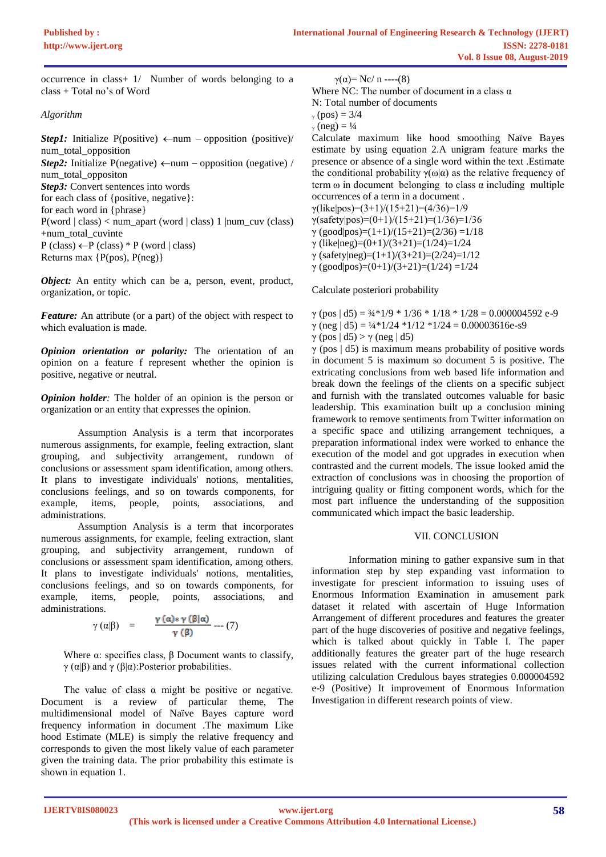occurrence in class+ 1/Number of words belonging to a class + Total no's of Word

#### *Algorithm*

*Step1:* Initialize P(positive)  $\leftarrow$ num – opposition (positive)/ num\_total\_opposition *Step2*: Initialize P(negative)  $\leftarrow$  num – opposition (negative) / num\_total\_oppositon *Step3:* Convert sentences into words for each class of {positive, negative}: for each word in {phrase} P(word | class) < num\_apart (word | class) 1 |num\_cuv (class) +num\_total\_cuvinte  $P$  (class)  $\leftarrow P$  (class) \* P (word | class) Returns max {P(pos), P(neg)}

*Object:* An entity which can be a, person, event, product, organization, or topic.

*Feature:* An attribute (or a part) of the object with respect to which evaluation is made.

*Opinion orientation or polarity:* The orientation of an opinion on a feature f represent whether the opinion is positive, negative or neutral.

*Opinion holder:* The holder of an opinion is the person or organization or an entity that expresses the opinion.

Assumption Analysis is a term that incorporates numerous assignments, for example, feeling extraction, slant grouping, and subjectivity arrangement, rundown of conclusions or assessment spam identification, among others. It plans to investigate individuals' notions, mentalities, conclusions feelings, and so on towards components, for example, items, people, points, associations, and administrations.

Assumption Analysis is a term that incorporates numerous assignments, for example, feeling extraction, slant grouping, and subjectivity arrangement, rundown of conclusions or assessment spam identification, among others. It plans to investigate individuals' notions, mentalities, conclusions feelings, and so on towards components, for example, items, people, points, associations, and administrations.

$$
\gamma(\alpha|\beta) = \frac{\gamma(\alpha) * \gamma(\beta|\alpha)}{\gamma(\beta)} \cdots (7)
$$

Where  $α$ : specifies class,  $β$  Document wants to classify, γ (α|β) and γ (β|α): Posterior probabilities.

The value of class  $\alpha$  might be positive or negative. Document is a review of particular theme, The multidimensional model of Naïve Bayes capture word frequency information in document .The maximum Like hood Estimate (MLE) is simply the relative frequency and corresponds to given the most likely value of each parameter given the training data. The prior probability this estimate is shown in equation 1.

 $γ(α)= NC/n$  ----(8)

```
Where NC: The number of document in a class \alphaN: Total number of documents
```
 $_{\gamma}$  (pos) = 3/4

```
_{\gamma} (neg) = \frac{1}{4}
```
Calculate maximum like hood smoothing Naïve Bayes estimate by using equation 2.A unigram feature marks the presence or absence of a single word within the text .Estimate the conditional probability  $\gamma(\omega|\alpha)$  as the relative frequency of term  $\omega$  in document belonging to class  $\alpha$  including multiple occurrences of a term in a document .

 $γ(like|pos)=(3+1)/(15+21)=(4/36)=1/9$  $γ(safety|pos)=(0+1)/(15+21)=(1/36)=1/36$ 

γ (good|pos)=(1+1)/(15+21)=(2/36) =1/18

γ (like|neg)=(0+1)/(3+21)=(1/24)=1/24

γ (safety|neg)=(1+1)/(3+21)=(2/24)=1/12

γ (good|pos)=(0+1)/(3+21)=(1/24) =1/24

Calculate posteriori probability

| $\gamma$ (pos   d5) = $\frac{3}{4}$ *1/9 * 1/36 * 1/18 * 1/28 = 0.000004592 e-9 |
|---------------------------------------------------------------------------------|
| $\gamma$ (neg   d5) = $\frac{1}{4}$ *1/24 *1/12 *1/24 = 0.00003616e-s9          |
| $\gamma$ (pos $ d5\rangle > \gamma$ (neg $ d5\rangle$ )                         |
| $\gamma$ (pos $(d5)$ ) is maximum means probability of positive words           |

 $\gamma$  (pos  $\vert$  d5) is maximum means probability of positive words in document 5 is maximum so document 5 is positive. The extricating conclusions from web based life information and break down the feelings of the clients on a specific subject and furnish with the translated outcomes valuable for basic leadership. This examination built up a conclusion mining framework to remove sentiments from Twitter information on a specific space and utilizing arrangement techniques, a preparation informational index were worked to enhance the execution of the model and got upgrades in execution when contrasted and the current models. The issue looked amid the extraction of conclusions was in choosing the proportion of intriguing quality or fitting component words, which for the most part influence the understanding of the supposition communicated which impact the basic leadership.

# VII. CONCLUSION

Information mining to gather expansive sum in that information step by step expanding vast information to investigate for prescient information to issuing uses of Enormous Information Examination in amusement park dataset it related with ascertain of Huge Information Arrangement of different procedures and features the greater part of the huge discoveries of positive and negative feelings, which is talked about quickly in Table I. The paper additionally features the greater part of the huge research issues related with the current informational collection utilizing calculation Credulous bayes strategies 0.000004592 e-9 (Positive) It improvement of Enormous Information Investigation in different research points of view.